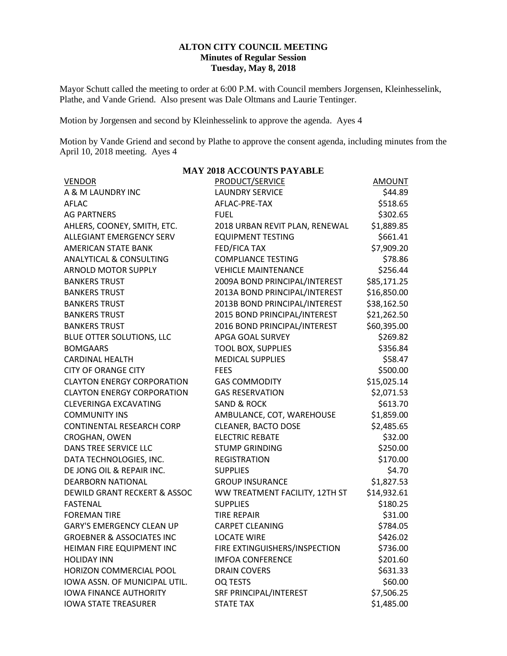## **ALTON CITY COUNCIL MEETING Minutes of Regular Session Tuesday, May 8, 2018**

Mayor Schutt called the meeting to order at 6:00 P.M. with Council members Jorgensen, Kleinhesselink, Plathe, and Vande Griend. Also present was Dale Oltmans and Laurie Tentinger.

Motion by Jorgensen and second by Kleinhesselink to approve the agenda. Ayes 4

Motion by Vande Griend and second by Plathe to approve the consent agenda, including minutes from the April 10, 2018 meeting. Ayes 4

| <b>VENDOR</b>                        | <b>PRODUCT/SERVICE</b>         | <u>AMOUNT</u> |
|--------------------------------------|--------------------------------|---------------|
| A & M LAUNDRY INC                    | <b>LAUNDRY SERVICE</b>         | \$44.89       |
| AFLAC                                | AFLAC-PRE-TAX                  | \$518.65      |
| <b>AG PARTNERS</b>                   | <b>FUEL</b>                    | \$302.65      |
| AHLERS, COONEY, SMITH, ETC.          | 2018 URBAN REVIT PLAN, RENEWAL | \$1,889.85    |
| ALLEGIANT EMERGENCY SERV             | <b>EQUIPMENT TESTING</b>       | \$661.41      |
| AMERICAN STATE BANK                  | FED/FICA TAX                   | \$7,909.20    |
| <b>ANALYTICAL &amp; CONSULTING</b>   | <b>COMPLIANCE TESTING</b>      | \$78.86       |
| <b>ARNOLD MOTOR SUPPLY</b>           | <b>VEHICLE MAINTENANCE</b>     | \$256.44      |
| <b>BANKERS TRUST</b>                 | 2009A BOND PRINCIPAL/INTEREST  | \$85,171.25   |
| <b>BANKERS TRUST</b>                 | 2013A BOND PRINCIPAL/INTEREST  | \$16,850.00   |
| <b>BANKERS TRUST</b>                 | 2013B BOND PRINCIPAL/INTEREST  | \$38,162.50   |
| <b>BANKERS TRUST</b>                 | 2015 BOND PRINCIPAL/INTEREST   | \$21,262.50   |
| <b>BANKERS TRUST</b>                 | 2016 BOND PRINCIPAL/INTEREST   | \$60,395.00   |
| BLUE OTTER SOLUTIONS, LLC            | APGA GOAL SURVEY               | \$269.82      |
| <b>BOMGAARS</b>                      | <b>TOOL BOX, SUPPLIES</b>      | \$356.84      |
| <b>CARDINAL HEALTH</b>               | <b>MEDICAL SUPPLIES</b>        | \$58.47       |
| <b>CITY OF ORANGE CITY</b>           | <b>FEES</b>                    | \$500.00      |
| <b>CLAYTON ENERGY CORPORATION</b>    | <b>GAS COMMODITY</b>           | \$15,025.14   |
| <b>CLAYTON ENERGY CORPORATION</b>    | <b>GAS RESERVATION</b>         | \$2,071.53    |
| <b>CLEVERINGA EXCAVATING</b>         | <b>SAND &amp; ROCK</b>         | \$613.70      |
| <b>COMMUNITY INS</b>                 | AMBULANCE, COT, WAREHOUSE      | \$1,859.00    |
| <b>CONTINENTAL RESEARCH CORP</b>     | <b>CLEANER, BACTO DOSE</b>     | \$2,485.65    |
| CROGHAN, OWEN                        | <b>ELECTRIC REBATE</b>         | \$32.00       |
| DANS TREE SERVICE LLC                | <b>STUMP GRINDING</b>          | \$250.00      |
| DATA TECHNOLOGIES, INC.              | <b>REGISTRATION</b>            | \$170.00      |
| DE JONG OIL & REPAIR INC.            | <b>SUPPLIES</b>                | \$4.70        |
| <b>DEARBORN NATIONAL</b>             | <b>GROUP INSURANCE</b>         | \$1,827.53    |
| DEWILD GRANT RECKERT & ASSOC         | WW TREATMENT FACILITY, 12TH ST | \$14,932.61   |
| <b>FASTENAL</b>                      | <b>SUPPLIES</b>                | \$180.25      |
| <b>FOREMAN TIRE</b>                  | <b>TIRE REPAIR</b>             | \$31.00       |
| <b>GARY'S EMERGENCY CLEAN UP</b>     | <b>CARPET CLEANING</b>         | \$784.05      |
| <b>GROEBNER &amp; ASSOCIATES INC</b> | <b>LOCATE WIRE</b>             | \$426.02      |
| HEIMAN FIRE EQUIPMENT INC            | FIRE EXTINGUISHERS/INSPECTION  | \$736.00      |
| <b>HOLIDAY INN</b>                   | <b>IMFOA CONFERENCE</b>        | \$201.60      |
| HORIZON COMMERCIAL POOL              | <b>DRAIN COVERS</b>            | \$631.33      |
| <b>IOWA ASSN. OF MUNICIPAL UTIL.</b> | OQ TESTS                       | \$60.00       |
| <b>IOWA FINANCE AUTHORITY</b>        | SRF PRINCIPAL/INTEREST         | \$7,506.25    |
| <b>IOWA STATE TREASURER</b>          | <b>STATE TAX</b>               | \$1,485.00    |

# **MAY 2018 ACCOUNTS PAYABLE**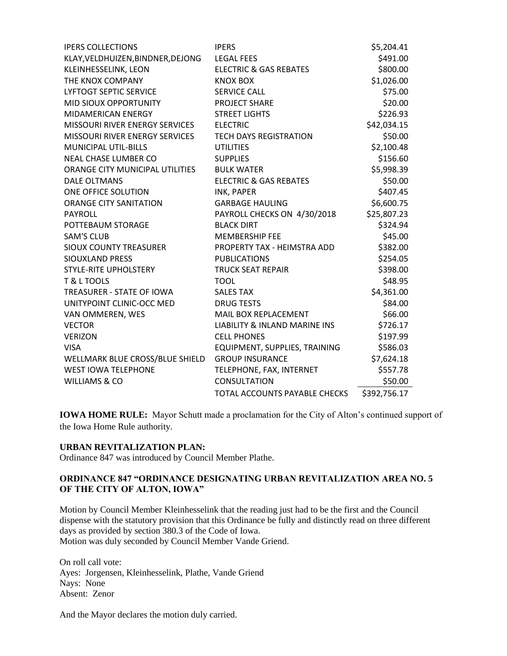| <b>IPERS COLLECTIONS</b>              | <b>IPERS</b>                             | \$5,204.41   |
|---------------------------------------|------------------------------------------|--------------|
| KLAY, VELDHUIZEN, BINDNER, DEJONG     | <b>LEGAL FEES</b>                        | \$491.00     |
| KLEINHESSELINK, LEON                  | <b>ELECTRIC &amp; GAS REBATES</b>        | \$800.00     |
| THE KNOX COMPANY                      | KNOX BOX                                 | \$1,026.00   |
| <b>LYFTOGT SEPTIC SERVICE</b>         | <b>SERVICE CALL</b>                      | \$75.00      |
| MID SIOUX OPPORTUNITY                 | <b>PROJECT SHARE</b>                     | \$20.00      |
| <b>MIDAMERICAN ENERGY</b>             | <b>STREET LIGHTS</b>                     | \$226.93     |
| MISSOURI RIVER ENERGY SERVICES        | <b>ELECTRIC</b>                          | \$42,034.15  |
| <b>MISSOURI RIVER ENERGY SERVICES</b> | <b>TECH DAYS REGISTRATION</b>            | \$50.00      |
| <b>MUNICIPAL UTIL-BILLS</b>           | <b>UTILITIES</b>                         | \$2,100.48   |
| <b>NEAL CHASE LUMBER CO</b>           | <b>SUPPLIES</b>                          | \$156.60     |
| ORANGE CITY MUNICIPAL UTILITIES       | <b>BULK WATER</b>                        | \$5,998.39   |
| <b>DALE OLTMANS</b>                   | <b>ELECTRIC &amp; GAS REBATES</b>        | \$50.00      |
| ONE OFFICE SOLUTION                   | INK, PAPER                               | \$407.45     |
| <b>ORANGE CITY SANITATION</b>         | <b>GARBAGE HAULING</b>                   | \$6,600.75   |
| <b>PAYROLL</b>                        | PAYROLL CHECKS ON 4/30/2018              | \$25,807.23  |
| POTTEBAUM STORAGE                     | <b>BLACK DIRT</b>                        | \$324.94     |
| <b>SAM'S CLUB</b>                     | <b>MEMBERSHIP FEE</b>                    | \$45.00      |
| <b>SIOUX COUNTY TREASURER</b>         | PROPERTY TAX - HEIMSTRA ADD              | \$382.00     |
| SIOUXLAND PRESS                       | <b>PUBLICATIONS</b>                      | \$254.05     |
| <b>STYLE-RITE UPHOLSTERY</b>          | <b>TRUCK SEAT REPAIR</b>                 | \$398.00     |
| <b>T &amp; L TOOLS</b>                | <b>TOOL</b>                              | \$48.95      |
| <b>TREASURER - STATE OF IOWA</b>      | <b>SALES TAX</b>                         | \$4,361.00   |
| UNITYPOINT CLINIC-OCC MED             | <b>DRUG TESTS</b>                        | \$84.00      |
| VAN OMMEREN, WES                      | <b>MAIL BOX REPLACEMENT</b>              | \$66.00      |
| <b>VECTOR</b>                         | <b>LIABILITY &amp; INLAND MARINE INS</b> | \$726.17     |
| <b>VERIZON</b>                        | <b>CELL PHONES</b>                       | \$197.99     |
| <b>VISA</b>                           | EQUIPMENT, SUPPLIES, TRAINING            | \$586.03     |
| WELLMARK BLUE CROSS/BLUE SHIELD       | <b>GROUP INSURANCE</b>                   | \$7,624.18   |
| <b>WEST IOWA TELEPHONE</b>            | TELEPHONE, FAX, INTERNET                 | \$557.78     |
| <b>WILLIAMS &amp; CO</b>              | <b>CONSULTATION</b>                      | \$50.00      |
|                                       | TOTAL ACCOUNTS PAYABLE CHECKS            | \$392,756.17 |

**IOWA HOME RULE:** Mayor Schutt made a proclamation for the City of Alton's continued support of the Iowa Home Rule authority.

#### **URBAN REVITALIZATION PLAN:**

Ordinance 847 was introduced by Council Member Plathe.

# **ORDINANCE 847 "ORDINANCE DESIGNATING URBAN REVITALIZATION AREA NO. 5 OF THE CITY OF ALTON, IOWA"**

Motion by Council Member Kleinhesselink that the reading just had to be the first and the Council dispense with the statutory provision that this Ordinance be fully and distinctly read on three different days as provided by section 380.3 of the Code of Iowa. Motion was duly seconded by Council Member Vande Griend.

On roll call vote: Ayes: Jorgensen, Kleinhesselink, Plathe, Vande Griend Nays: None Absent: Zenor

And the Mayor declares the motion duly carried.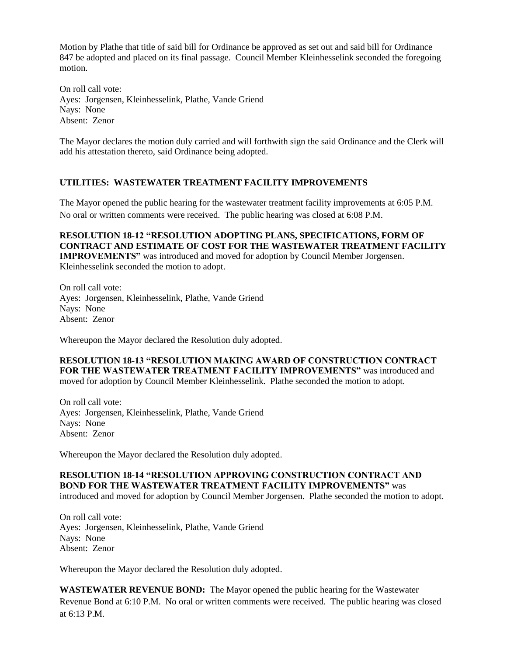Motion by Plathe that title of said bill for Ordinance be approved as set out and said bill for Ordinance 847 be adopted and placed on its final passage. Council Member Kleinhesselink seconded the foregoing motion.

On roll call vote: Ayes: Jorgensen, Kleinhesselink, Plathe, Vande Griend Nays: None Absent: Zenor

The Mayor declares the motion duly carried and will forthwith sign the said Ordinance and the Clerk will add his attestation thereto, said Ordinance being adopted.

# **UTILITIES: WASTEWATER TREATMENT FACILITY IMPROVEMENTS**

The Mayor opened the public hearing for the wastewater treatment facility improvements at 6:05 P.M. No oral or written comments were received. The public hearing was closed at 6:08 P.M.

**RESOLUTION 18-12 "RESOLUTION ADOPTING PLANS, SPECIFICATIONS, FORM OF CONTRACT AND ESTIMATE OF COST FOR THE WASTEWATER TREATMENT FACILITY IMPROVEMENTS"** was introduced and moved for adoption by Council Member Jorgensen. Kleinhesselink seconded the motion to adopt.

On roll call vote: Ayes: Jorgensen, Kleinhesselink, Plathe, Vande Griend Nays: None Absent: Zenor

Whereupon the Mayor declared the Resolution duly adopted.

**RESOLUTION 18-13 "RESOLUTION MAKING AWARD OF CONSTRUCTION CONTRACT FOR THE WASTEWATER TREATMENT FACILITY IMPROVEMENTS"** was introduced and moved for adoption by Council Member Kleinhesselink. Plathe seconded the motion to adopt.

On roll call vote: Ayes: Jorgensen, Kleinhesselink, Plathe, Vande Griend Nays: None Absent: Zenor

Whereupon the Mayor declared the Resolution duly adopted.

### **RESOLUTION 18-14 "RESOLUTION APPROVING CONSTRUCTION CONTRACT AND BOND FOR THE WASTEWATER TREATMENT FACILITY IMPROVEMENTS"** was introduced and moved for adoption by Council Member Jorgensen. Plathe seconded the motion to adopt.

On roll call vote: Ayes: Jorgensen, Kleinhesselink, Plathe, Vande Griend Nays: None Absent: Zenor

Whereupon the Mayor declared the Resolution duly adopted.

**WASTEWATER REVENUE BOND:** The Mayor opened the public hearing for the Wastewater Revenue Bond at 6:10 P.M. No oral or written comments were received. The public hearing was closed at 6:13 P.M.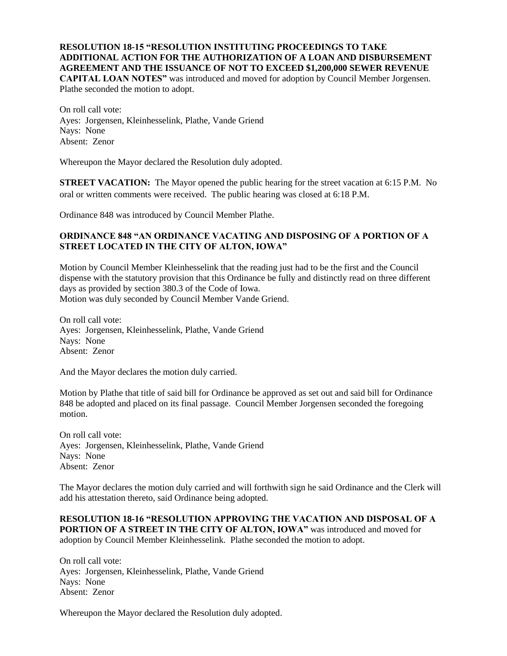**RESOLUTION 18-15 "RESOLUTION INSTITUTING PROCEEDINGS TO TAKE ADDITIONAL ACTION FOR THE AUTHORIZATION OF A LOAN AND DISBURSEMENT AGREEMENT AND THE ISSUANCE OF NOT TO EXCEED \$1,200,000 SEWER REVENUE CAPITAL LOAN NOTES"** was introduced and moved for adoption by Council Member Jorgensen. Plathe seconded the motion to adopt.

On roll call vote: Ayes: Jorgensen, Kleinhesselink, Plathe, Vande Griend Nays: None Absent: Zenor

Whereupon the Mayor declared the Resolution duly adopted.

**STREET VACATION:** The Mayor opened the public hearing for the street vacation at 6:15 P.M. No oral or written comments were received. The public hearing was closed at 6:18 P.M.

Ordinance 848 was introduced by Council Member Plathe.

## **ORDINANCE 848 "AN ORDINANCE VACATING AND DISPOSING OF A PORTION OF A STREET LOCATED IN THE CITY OF ALTON, IOWA"**

Motion by Council Member Kleinhesselink that the reading just had to be the first and the Council dispense with the statutory provision that this Ordinance be fully and distinctly read on three different days as provided by section 380.3 of the Code of Iowa. Motion was duly seconded by Council Member Vande Griend.

On roll call vote: Ayes: Jorgensen, Kleinhesselink, Plathe, Vande Griend Nays: None Absent: Zenor

And the Mayor declares the motion duly carried.

Motion by Plathe that title of said bill for Ordinance be approved as set out and said bill for Ordinance 848 be adopted and placed on its final passage. Council Member Jorgensen seconded the foregoing motion.

On roll call vote: Ayes: Jorgensen, Kleinhesselink, Plathe, Vande Griend Nays: None Absent: Zenor

The Mayor declares the motion duly carried and will forthwith sign he said Ordinance and the Clerk will add his attestation thereto, said Ordinance being adopted.

**RESOLUTION 18-16 "RESOLUTION APPROVING THE VACATION AND DISPOSAL OF A PORTION OF A STREET IN THE CITY OF ALTON, IOWA"** was introduced and moved for adoption by Council Member Kleinhesselink. Plathe seconded the motion to adopt.

On roll call vote: Ayes: Jorgensen, Kleinhesselink, Plathe, Vande Griend Nays: None Absent: Zenor

Whereupon the Mayor declared the Resolution duly adopted.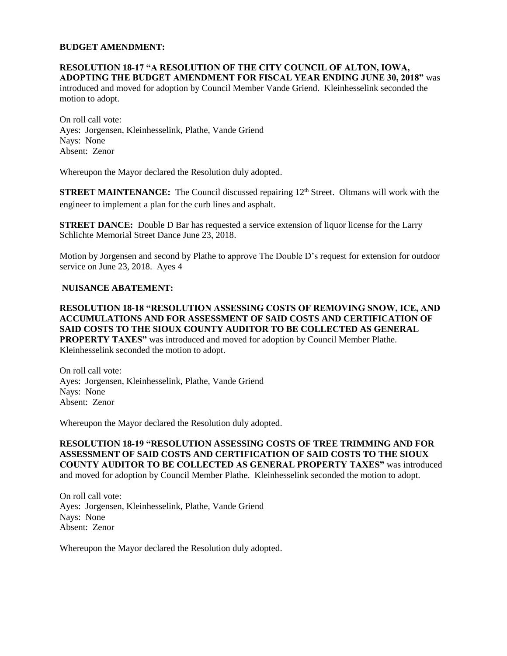### **BUDGET AMENDMENT:**

**RESOLUTION 18-17 "A RESOLUTION OF THE CITY COUNCIL OF ALTON, IOWA, ADOPTING THE BUDGET AMENDMENT FOR FISCAL YEAR ENDING JUNE 30, 2018"** was introduced and moved for adoption by Council Member Vande Griend. Kleinhesselink seconded the motion to adopt.

On roll call vote: Ayes: Jorgensen, Kleinhesselink, Plathe, Vande Griend Nays: None Absent: Zenor

Whereupon the Mayor declared the Resolution duly adopted.

**STREET MAINTENANCE:** The Council discussed repairing 12<sup>th</sup> Street. Oltmans will work with the engineer to implement a plan for the curb lines and asphalt.

**STREET DANCE:** Double D Bar has requested a service extension of liquor license for the Larry Schlichte Memorial Street Dance June 23, 2018.

Motion by Jorgensen and second by Plathe to approve The Double D's request for extension for outdoor service on June 23, 2018. Ayes 4

### **NUISANCE ABATEMENT:**

**RESOLUTION 18-18 "RESOLUTION ASSESSING COSTS OF REMOVING SNOW, ICE, AND ACCUMULATIONS AND FOR ASSESSMENT OF SAID COSTS AND CERTIFICATION OF SAID COSTS TO THE SIOUX COUNTY AUDITOR TO BE COLLECTED AS GENERAL PROPERTY TAXES"** was introduced and moved for adoption by Council Member Plathe. Kleinhesselink seconded the motion to adopt.

On roll call vote: Ayes: Jorgensen, Kleinhesselink, Plathe, Vande Griend Nays: None Absent: Zenor

Whereupon the Mayor declared the Resolution duly adopted.

**RESOLUTION 18-19 "RESOLUTION ASSESSING COSTS OF TREE TRIMMING AND FOR ASSESSMENT OF SAID COSTS AND CERTIFICATION OF SAID COSTS TO THE SIOUX COUNTY AUDITOR TO BE COLLECTED AS GENERAL PROPERTY TAXES"** was introduced and moved for adoption by Council Member Plathe. Kleinhesselink seconded the motion to adopt.

On roll call vote: Ayes: Jorgensen, Kleinhesselink, Plathe, Vande Griend Nays: None Absent: Zenor

Whereupon the Mayor declared the Resolution duly adopted.